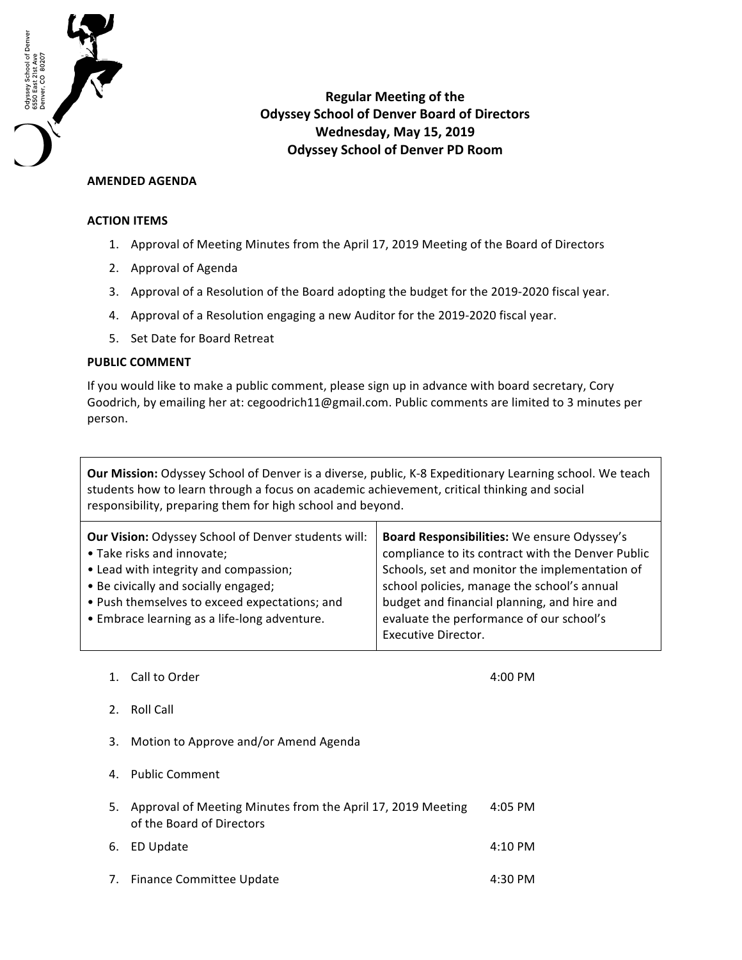

**Regular Meeting of the Odyssey School of Denver Board of Directors Wednesday, May 15, 2019 Odyssey School of Denver PD Room**

## **AMENDED AGENDA**

## **ACTION ITEMS**

- 1. Approval of Meeting Minutes from the April 17, 2019 Meeting of the Board of Directors
- 2. Approval of Agenda
- 3. Approval of a Resolution of the Board adopting the budget for the 2019-2020 fiscal year.
- 4. Approval of a Resolution engaging a new Auditor for the 2019-2020 fiscal year.
- 5. Set Date for Board Retreat

## **PUBLIC COMMENT**

If you would like to make a public comment, please sign up in advance with board secretary, Cory Goodrich, by emailing her at: cegoodrich11@gmail.com. Public comments are limited to 3 minutes per person.

**Our Mission:** Odyssey School of Denver is a diverse, public, K-8 Expeditionary Learning school. We teach students how to learn through a focus on academic achievement, critical thinking and social responsibility, preparing them for high school and beyond.

| Board Responsibilities: We ensure Odyssey's<br>compliance to its contract with the Denver Public<br>Schools, set and monitor the implementation of<br>school policies, manage the school's annual<br>budget and financial planning, and hire and<br>evaluate the performance of our school's |
|----------------------------------------------------------------------------------------------------------------------------------------------------------------------------------------------------------------------------------------------------------------------------------------------|
| Executive Director.                                                                                                                                                                                                                                                                          |
|                                                                                                                                                                                                                                                                                              |

1. Call to Order 1. The contract of the contract of the contract of the contract of the contract of the contract of the contract of the contract of the contract of the contract of the contract of the contract of the contra

- 2. Roll Call
- 3. Motion to Approve and/or Amend Agenda
- 4. Public Comment

| 5. Approval of Meeting Minutes from the April 17, 2019 Meeting<br>of the Board of Directors | 4:05 PM           |
|---------------------------------------------------------------------------------------------|-------------------|
| 6. ED Update                                                                                | $4:10 \text{ PM}$ |

7. Finance Committee Update **1998** 4:30 PM